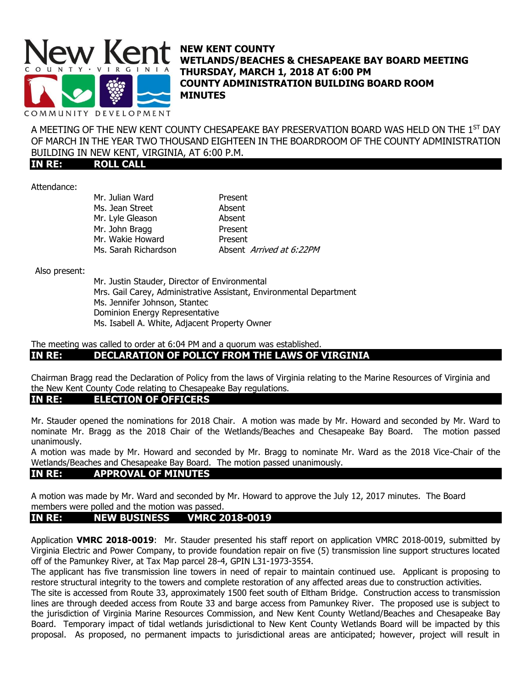

**NEW KENT COUNTY WETLANDS/BEACHES & CHESAPEAKE BAY BOARD MEETING THURSDAY, MARCH 1, 2018 AT 6:00 PM COUNTY ADMINISTRATION BUILDING BOARD ROOM MINUTES**

A MEETING OF THE NEW KENT COUNTY CHESAPEAKE BAY PRESERVATION BOARD WAS HELD ON THE  $1^{\rm ST}$  DAY OF MARCH IN THE YEAR TWO THOUSAND EIGHTEEN IN THE BOARDROOM OF THE COUNTY ADMINISTRATION BUILDING IN NEW KENT, VIRGINIA, AT 6:00 P.M.

**IN RE: ROLL CALL**

Attendance:

| Mr. Julian Ward      | Present                  |
|----------------------|--------------------------|
| Ms. Jean Street      | Absent                   |
| Mr. Lyle Gleason     | Absent                   |
| Mr. John Bragg       | Present                  |
| Mr. Wakie Howard     | Present                  |
| Ms. Sarah Richardson | Absent Arrived at 6:22PM |

Also present:

Mr. Justin Stauder, Director of Environmental Mrs. Gail Carey, Administrative Assistant, Environmental Department Ms. Jennifer Johnson, Stantec Dominion Energy Representative Ms. Isabell A. White, Adjacent Property Owner

### The meeting was called to order at 6:04 PM and a quorum was established. **IN RE: DECLARATION OF POLICY FROM THE LAWS OF VIRGINIA**

Chairman Bragg read the Declaration of Policy from the laws of Virginia relating to the Marine Resources of Virginia and the New Kent County Code relating to Chesapeake Bay regulations.

## **IN RE: ELECTION OF OFFICERS**

Mr. Stauder opened the nominations for 2018 Chair. A motion was made by Mr. Howard and seconded by Mr. Ward to nominate Mr. Bragg as the 2018 Chair of the Wetlands/Beaches and Chesapeake Bay Board. The motion passed unanimously.

A motion was made by Mr. Howard and seconded by Mr. Bragg to nominate Mr. Ward as the 2018 Vice-Chair of the Wetlands/Beaches and Chesapeake Bay Board. The motion passed unanimously.

## **IN RE: APPROVAL OF MINUTES**

A motion was made by Mr. Ward and seconded by Mr. Howard to approve the July 12, 2017 minutes. The Board members were polled and the motion was passed.

## **IN RE: NEW BUSINESS VMRC 2018-0019**

Application **VMRC 2018-0019**: Mr. Stauder presented his staff report on application VMRC 2018-0019, submitted by Virginia Electric and Power Company, to provide foundation repair on five (5) transmission line support structures located off of the Pamunkey River, at Tax Map parcel 28-4, GPIN L31-1973-3554.

The applicant has five transmission line towers in need of repair to maintain continued use. Applicant is proposing to restore structural integrity to the towers and complete restoration of any affected areas due to construction activities.

The site is accessed from Route 33, approximately 1500 feet south of Eltham Bridge. Construction access to transmission lines are through deeded access from Route 33 and barge access from Pamunkey River. The proposed use is subject to the jurisdiction of Virginia Marine Resources Commission, and New Kent County Wetland/Beaches and Chesapeake Bay Board. Temporary impact of tidal wetlands jurisdictional to New Kent County Wetlands Board will be impacted by this proposal. As proposed, no permanent impacts to jurisdictional areas are anticipated; however, project will result in